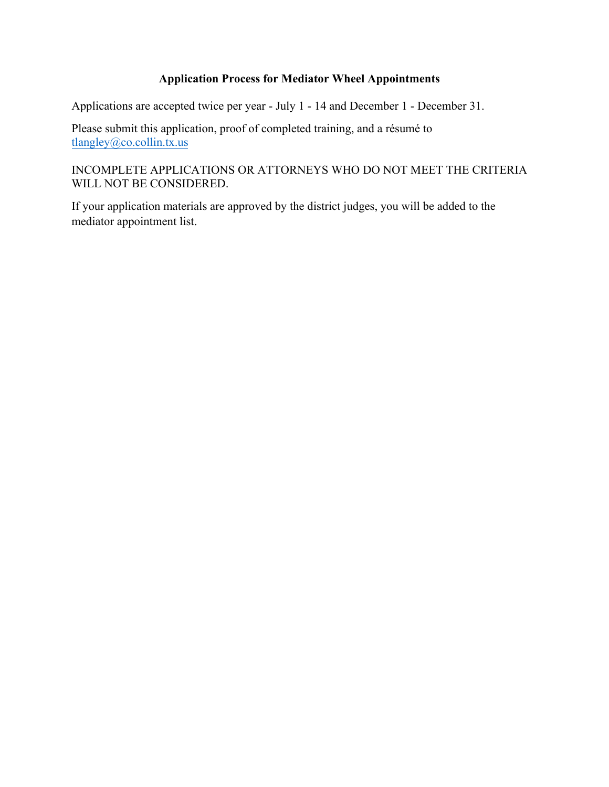## **Application Process for Mediator Wheel Appointments**

Applications are accepted twice per year - July 1 - 14 and December 1 - December 31.

Please submit this application, proof of completed training, and a résumé to tlangley[@co.collin.tx.us](mailto:kalvarado@co.collin.tx.us)

## INCOMPLETE APPLICATIONS OR ATTORNEYS WHO DO NOT MEET THE CRITERIA WILL NOT BE CONSIDERED.

If your application materials are approved by the district judges, you will be added to the mediator appointment list.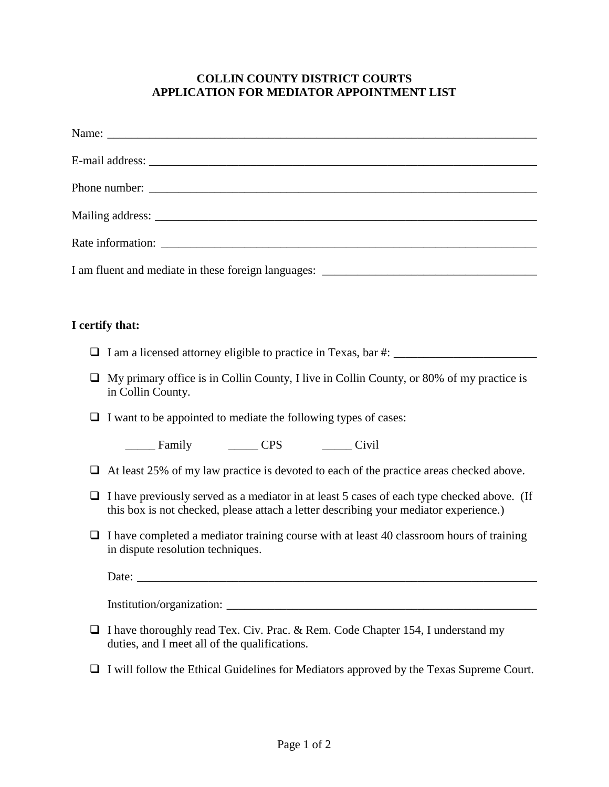## **COLLIN COUNTY DISTRICT COURTS APPLICATION FOR MEDIATOR APPOINTMENT LIST**

| I am fluent and mediate in these foreign languages: _____________________________                                                                                                        |  |  |
|------------------------------------------------------------------------------------------------------------------------------------------------------------------------------------------|--|--|
|                                                                                                                                                                                          |  |  |
| I certify that:                                                                                                                                                                          |  |  |
| I am a licensed attorney eligible to practice in Texas, bar #: _________________                                                                                                         |  |  |
| My primary office is in Collin County, I live in Collin County, or 80% of my practice is<br>⊔<br>in Collin County.                                                                       |  |  |
| I want to be appointed to mediate the following types of cases:                                                                                                                          |  |  |
| Family CPS Civil                                                                                                                                                                         |  |  |
| At least 25% of my law practice is devoted to each of the practice areas checked above.<br>⊔                                                                                             |  |  |
| I have previously served as a mediator in at least 5 cases of each type checked above. (If<br>⊔<br>this box is not checked, please attach a letter describing your mediator experience.) |  |  |
| I have completed a mediator training course with at least 40 classroom hours of training<br>$\Box$<br>in dispute resolution techniques.                                                  |  |  |
|                                                                                                                                                                                          |  |  |
|                                                                                                                                                                                          |  |  |
| I have thoroughly read Tex. Civ. Prac. & Rem. Code Chapter 154, I understand my<br>duties, and I meet all of the qualifications.                                                         |  |  |
| I will follow the Ethical Guidelines for Mediators approved by the Texas Supreme Court.                                                                                                  |  |  |